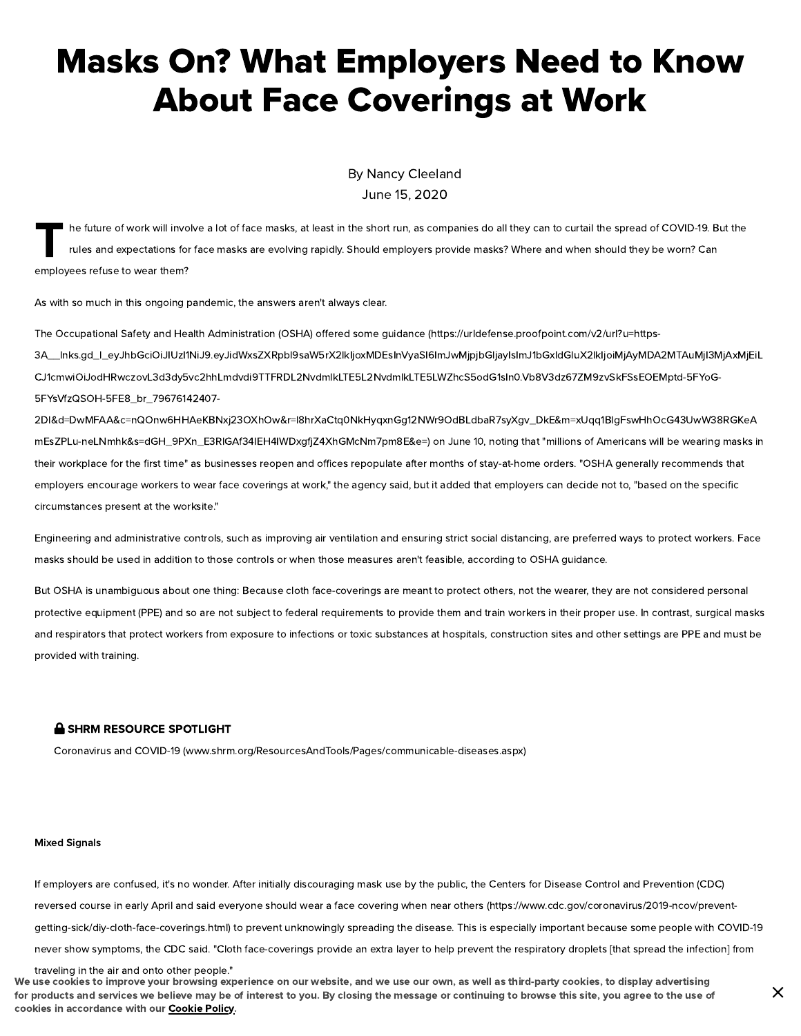# Masks On? What Employers Need to Know About Face Coverings at Work

By Nancy [Cleeland](https://www.shrm.org/authors/Pages/Nancy-Cleeland.aspx) June 15, 2020

 $\prod_{i=1}^{n}$ he future of work will involve a lot of face masks, at least in the short run, as companies do all they can to curtail the spread of COVID-19. But the rules and expectations for face masks are evolving rapidly. Should employers provide masks? Where and when should they be worn? Can employees refuse to wear them?

As with so much in this ongoing pandemic, the answers aren't always clear.

The Occupational Safety and Health Administration (OSHA) offered some quidance (https://urldefense.proofpoint.com/v2/url?u=https-

[3A\\_\\_lnks.gd\\_l\\_eyJhbGciOiJIUzI1NiJ9.eyJidWxsZXRpbl9saW5rX2lkIjoxMDEsInVyaSI6ImJwMjpjbGljayIsImJ1bGxldGluX2lkIjoiMjAyMDA2MTAuMjI3MjAxMjEiL](https://urldefense.proofpoint.com/v2/url?u=https-3A__lnks.gd_l_eyJhbGciOiJIUzI1NiJ9.eyJidWxsZXRpbl9saW5rX2lkIjoxMDEsInVyaSI6ImJwMjpjbGljayIsImJ1bGxldGluX2lkIjoiMjAyMDA2MTAuMjI3MjAxMjEiLCJ1cmwiOiJodHRwczovL3d3dy5vc2hhLmdvdi9TTFRDL2NvdmlkLTE5L2NvdmlkLTE5LWZhcS5odG1sIn0.Vb8V3dz67ZM9zvSkFSsEOEMptd-5FYoG-5FYsVfzQSOH-5FE8_br_79676142407-2Dl&d=DwMFAA&c=nQOnw6HHAeKBNxj23OXhOw&r=l8hrXaCtq0NkHyqxnGg12NWr9OdBLdbaR7syXgv_DkE&m=xUqq1BlgFswHhOcG43UwW38RGKeAmEsZPLu-neLNmhk&s=dGH_9PXn_E3RlGAf34lEH4IWDxgfjZ4XhGMcNm7pm8E&e=) CJ1cmwiOiJodHRwczovL3d3dy5vc2hhLmdvdi9TTFRDL2NvdmlkLTE5L2NvdmlkLTE5LWZhcS5odG1sIn0.Vb8V3dz67ZM9zvSkFSsEOEMptd-5FYoG-5FYsVfzQSOH-5FE8\_br\_79676142407-

2Dl&d=DwMFAA&c=nQOnw6HHAeKBNxj23OXhOw&r=l8hrXaCtq0NkHyqxnGg12NWr9OdBLdbaR7syXgv\_DkE&m=xUqq1BlgFswHhOcG43UwW38RGKeA mEsZPLu-neLNmhk&s=dGH\_9PXn\_E3RIGAf34IEH4IWDxqfiZ4XhGMcNm7pm8E&e=) on June 10, noting that "millions of Americans will be wearing masks in their workplace for the first time" as businesses reopen and offices repopulate after months of stay-at-home orders. "OSHA generally recommends that employers encourage workers to wear face coverings at work," the agency said, but it added that employers can decide not to, "based on the specific circumstances present at the worksite."

Engineering and administrative controls, such as improving air ventilation and ensuring strict social distancing, are preferred ways to protect workers. Face masks should be used in addition to those controls or when those measures aren't feasible, according to OSHA guidance.

But OSHA is unambiguous about one thing: Because cloth face-coverings are meant to protect others, not the wearer, they are not considered personal protective equipment (PPE) and so are not subject to federal requirements to provide them and train workers in their proper use. In contrast, surgical masks and respirators that protect workers from exposure to infections or toxic substances at hospitals, construction sites and other settings are PPE and must be provided with training.

#### SHRM RESOURCE SPOTLIGHT

Coronavirus and COVID-19 [\(www.shrm.org/ResourcesAndTools/Pages/communicable-diseases.aspx\)](https://www.shrm.org/ResourcesAndTools/Pages/communicable-diseases.aspx)

#### Mixed Signals

If employers are confused, it's no wonder. After initially discouraging mask use by the public, the Centers for Disease Control and Prevention (CDC) reversed course in early April and said everyone should wear a face covering when near others [\(https://www.cdc.gov/coronavirus/2019-ncov/prevent](https://www.cdc.gov/coronavirus/2019-ncov/prevent-getting-sick/diy-cloth-face-coverings.html)getting-sick/diy-cloth-face-coverings.html) to prevent unknowingly spreading the disease. This is especially important because some people with COVID-19 never show symptoms, the CDC said. "Cloth face-coverings provide an extra layer to help prevent the respiratory droplets [that spread the infection] from

traveling in the air and onto other people." We use cookies to improve your browsing experience on our website, and we use our own, as well as third-party cookies, to display advertising for products and services we believe may be of interest to you. By closing the message or continuing to browse this site, you agree to the use of cookies in accordance with our [Cookie](https://www.shrm.org/about-shrm/Pages/Cookie-Policy.aspx) Policy.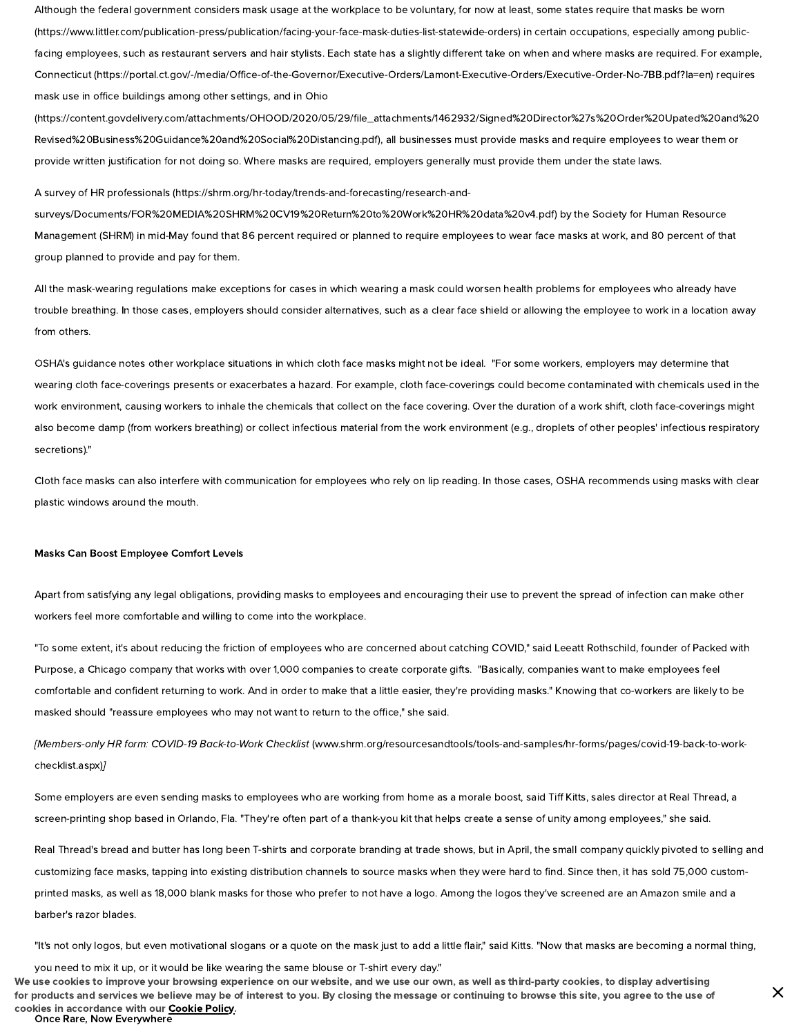Although the federal government considers mask usage at the workplace to be voluntary, for now at least, some states require that masks be worn [\(https://www.littler.com/publication-press/publication/facing-your-face-mask-duties-list-statewide-orders\)](https://www.littler.com/publication-press/publication/facing-your-face-mask-duties-list-statewide-orders) in certain occupations, especially among publicfacing employees, such as restaurant servers and hair stylists. Each state has a slightly different take on when and where masks are required. For example, Connecticut (https://portal.ct.gov/-/media/Office-of-the-Governor/Executive-Orders/Lamont-Executive-Orders/Executive-Order-No-7BB.pdf?la=en) requires mask use in office buildings among other settings, and in Ohio

[\(https://content.govdelivery.com/attachments/OHOOD/2020/05/29/le\\_attachments/1462932/Signed%20Director%27s%20Order%20Upated%20and%20](https://content.govdelivery.com/attachments/OHOOD/2020/05/29/file_attachments/1462932/Signed%20Director%27s%20Order%20Upated%20and%20Revised%20Business%20Guidance%20and%20Social%20Distancing.pdf) Revised%20Business%20Guidance%20and%20Social%20Distancing.pdf), all businesses must provide masks and require employees to wear them or provide written justification for not doing so. Where masks are required, employers generally must provide them under the state laws.

A survey of HR professionals (https://shrm.org/hr-today/trends-and-forecasting/research-and-

[surveys/Documents/FOR%20MEDIA%20SHRM%20CV19%20Return%20to%20Work%20HR%20data%20v4.pdf\)](https://shrm.org/hr-today/trends-and-forecasting/research-and-surveys/Documents/FOR%20MEDIA%20SHRM%20CV19%20Return%20to%20Work%20HR%20data%20v4.pdf) by the Society for Human Resource Management (SHRM) in mid-May found that 86 percent required or planned to require employees to wear face masks at work, and 80 percent of that group planned to provide and pay for them.

All the mask-wearing regulations make exceptions for cases in which wearing a mask could worsen health problems for employees who already have trouble breathing. In those cases, employers should consider alternatives, such as a clear face shield or allowing the employee to work in a location away from others.

OSHA's guidance notes other workplace situations in which cloth face masks might not be ideal. "For some workers, employers may determine that wearing cloth face-coverings presents or exacerbates a hazard. For example, cloth face-coverings could become contaminated with chemicals used in the work environment, causing workers to inhale the chemicals that collect on the face covering. Over the duration of a work shift, cloth face-coverings might also become damp (from workers breathing) or collect infectious material from the work environment (e.g., droplets of other peoples' infectious respiratory secretions)."

Cloth face masks can also interfere with communication for employees who rely on lip reading. In those cases, OSHA recommends using masks with clear plastic windows around the mouth.

#### Masks Can Boost Employee Comfort Levels

Apart from satisfying any legal obligations, providing masks to employees and encouraging their use to prevent the spread of infection can make other workers feel more comfortable and willing to come into the workplace.

"To some extent, it's about reducing the friction of employees who are concerned about catching COVID," said Leeatt Rothschild, founder of Packed with Purpose, a Chicago company that works with over 1,000 companies to create corporate gifts. "Basically, companies want to make employees feel comfortable and confident returning to work. And in order to make that a little easier, they're providing masks." Knowing that co-workers are likely to be masked should "reassure employees who may not want to return to the office," she said.

[Members-only HR form: COVID-19 Back-to-Work Checklist [\(www.shrm.org/resourcesandtools/tools-and-samples/hr-forms/pages/covid-19-back-to-work](https://www.shrm.org/resourcesandtools/tools-and-samples/hr-forms/pages/covid-19-back-to-work-checklist.aspx)checklist.aspx)]

Some employers are even sending masks to employees who are working from home as a morale boost, said Tiff Kitts, sales director at Real Thread, a screen-printing shop based in Orlando, Fla. "They're often part of a thank-you kit that helps create a sense of unity among employees," she said.

Real Thread's bread and butter has long been T-shirts and corporate branding at trade shows, but in April, the small company quickly pivoted to selling and customizing face masks, tapping into existing distribution channels to source masks when they were hard to find. Since then, it has sold 75,000 customprinted masks, as well as 18,000 blank masks for those who prefer to not have a logo. Among the logos they've screened are an Amazon smile and a barber's razor blades.

"It's not only logos, but even motivational slogans or a quote on the mask just to add a little flair," said Kitts. "Now that masks are becoming a normal thing,

you need to mix it up, or it would be like wearing the same blouse or T-shirt every day." We use cookies to improve your browsing experience on our website, and we use our own, as well as third-party cookies, to display advertising for products and services we believe may be of interest to you. By closing the message or continuing to browse this site, you agree to the use of cookies in accordance with our [Cookie](https://www.shrm.org/about-shrm/Pages/Cookie-Policy.aspx) Policy.